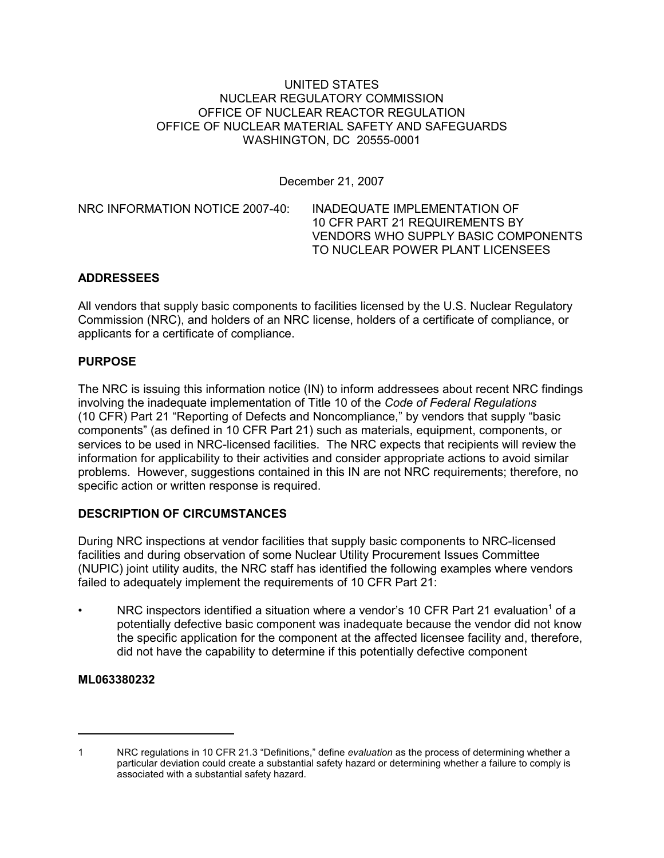## UNITED STATES NUCLEAR REGULATORY COMMISSION OFFICE OF NUCLEAR REACTOR REGULATION OFFICE OF NUCLEAR MATERIAL SAFETY AND SAFEGUARDS WASHINGTON, DC 20555-0001

December 21, 2007

NRC INFORMATION NOTICE 2007-40: INADEQUATE IMPLEMENTATION OF 10 CFR PART 21 REQUIREMENTS BY VENDORS WHO SUPPLY BASIC COMPONENTS TO NUCLEAR POWER PLANT LICENSEES

## **ADDRESSEES**

All vendors that supply basic components to facilities licensed by the U.S. Nuclear Regulatory Commission (NRC), and holders of an NRC license, holders of a certificate of compliance, or applicants for a certificate of compliance.

## **PURPOSE**

The NRC is issuing this information notice (IN) to inform addressees about recent NRC findings involving the inadequate implementation of Title 10 of the *Code of Federal Regulations* (10 CFR) Part 21 "Reporting of Defects and Noncompliance," by vendors that supply "basic components" (as defined in 10 CFR Part 21) such as materials, equipment, components, or services to be used in NRC-licensed facilities. The NRC expects that recipients will review the information for applicability to their activities and consider appropriate actions to avoid similar problems. However, suggestions contained in this IN are not NRC requirements; therefore, no specific action or written response is required.

# **DESCRIPTION OF CIRCUMSTANCES**

During NRC inspections at vendor facilities that supply basic components to NRC-licensed facilities and during observation of some Nuclear Utility Procurement Issues Committee (NUPIC) joint utility audits, the NRC staff has identified the following examples where vendors failed to adequately implement the requirements of 10 CFR Part 21:

• NRC inspectors identified a situation where a vendor's 10 CFR Part 21 evaluation<sup>1</sup> of a potentially defective basic component was inadequate because the vendor did not know the specific application for the component at the affected licensee facility and, therefore, did not have the capability to determine if this potentially defective component

# **ML063380232**

<sup>1</sup> NRC regulations in 10 CFR 21.3 "Definitions," define *evaluation* as the process of determining whether a particular deviation could create a substantial safety hazard or determining whether a failure to comply is associated with a substantial safety hazard.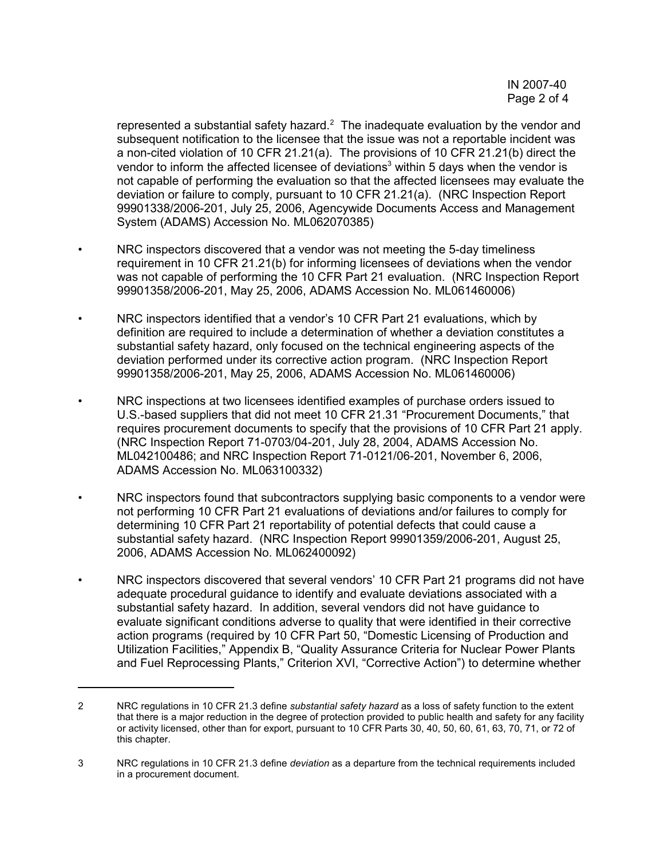represented a substantial safety hazard. $2$  The inadequate evaluation by the vendor and subsequent notification to the licensee that the issue was not a reportable incident was a non-cited violation of 10 CFR 21.21(a). The provisions of 10 CFR 21.21(b) direct the vendor to inform the affected licensee of deviations<sup>3</sup> within 5 days when the vendor is not capable of performing the evaluation so that the affected licensees may evaluate the deviation or failure to comply, pursuant to 10 CFR 21.21(a). (NRC Inspection Report 99901338/2006-201, July 25, 2006, Agencywide Documents Access and Management System (ADAMS) Accession No. ML062070385)

- NRC inspectors discovered that a vendor was not meeting the 5-day timeliness requirement in 10 CFR 21.21(b) for informing licensees of deviations when the vendor was not capable of performing the 10 CFR Part 21 evaluation. (NRC Inspection Report 99901358/2006-201, May 25, 2006, ADAMS Accession No. ML061460006)
- NRC inspectors identified that a vendor's 10 CFR Part 21 evaluations, which by definition are required to include a determination of whether a deviation constitutes a substantial safety hazard, only focused on the technical engineering aspects of the deviation performed under its corrective action program. (NRC Inspection Report 99901358/2006-201, May 25, 2006, ADAMS Accession No. ML061460006)
- NRC inspections at two licensees identified examples of purchase orders issued to U.S.-based suppliers that did not meet 10 CFR 21.31 "Procurement Documents," that requires procurement documents to specify that the provisions of 10 CFR Part 21 apply. (NRC Inspection Report 71-0703/04-201, July 28, 2004, ADAMS Accession No. ML042100486; and NRC Inspection Report 71-0121/06-201, November 6, 2006, ADAMS Accession No. ML063100332)
- NRC inspectors found that subcontractors supplying basic components to a vendor were not performing 10 CFR Part 21 evaluations of deviations and/or failures to comply for determining 10 CFR Part 21 reportability of potential defects that could cause a substantial safety hazard. (NRC Inspection Report 99901359/2006-201, August 25, 2006, ADAMS Accession No. ML062400092)
- NRC inspectors discovered that several vendors' 10 CFR Part 21 programs did not have adequate procedural guidance to identify and evaluate deviations associated with a substantial safety hazard. In addition, several vendors did not have guidance to evaluate significant conditions adverse to quality that were identified in their corrective action programs (required by 10 CFR Part 50, "Domestic Licensing of Production and Utilization Facilities," Appendix B, "Quality Assurance Criteria for Nuclear Power Plants and Fuel Reprocessing Plants," Criterion XVI, "Corrective Action") to determine whether

<sup>2</sup> NRC regulations in 10 CFR 21.3 define *substantial safety hazard* as a loss of safety function to the extent that there is a major reduction in the degree of protection provided to public health and safety for any facility or activity licensed, other than for export, pursuant to 10 CFR Parts 30, 40, 50, 60, 61, 63, 70, 71, or 72 of this chapter.

<sup>3</sup> NRC regulations in 10 CFR 21.3 define *deviation* as a departure from the technical requirements included in a procurement document.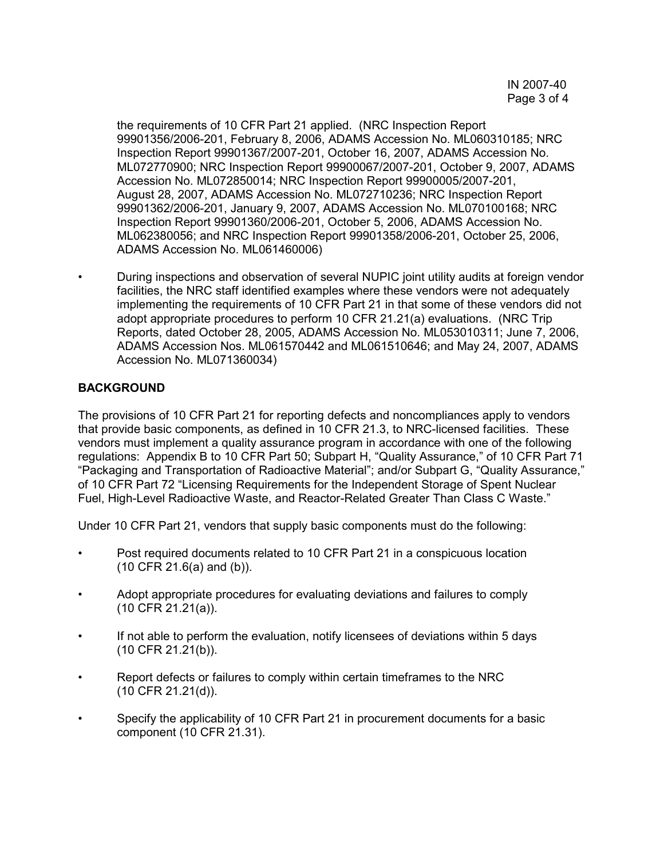the requirements of 10 CFR Part 21 applied. (NRC Inspection Report 99901356/2006-201, February 8, 2006, ADAMS Accession No. ML060310185; NRC Inspection Report 99901367/2007-201, October 16, 2007, ADAMS Accession No. ML072770900; NRC Inspection Report 99900067/2007-201, October 9, 2007, ADAMS Accession No. ML072850014; NRC Inspection Report 99900005/2007-201, August 28, 2007, ADAMS Accession No. ML072710236; NRC Inspection Report 99901362/2006-201, January 9, 2007, ADAMS Accession No. ML070100168; NRC Inspection Report 99901360/2006-201, October 5, 2006, ADAMS Accession No. ML062380056; and NRC Inspection Report 99901358/2006-201, October 25, 2006, ADAMS Accession No. ML061460006)

• During inspections and observation of several NUPIC joint utility audits at foreign vendor facilities, the NRC staff identified examples where these vendors were not adequately implementing the requirements of 10 CFR Part 21 in that some of these vendors did not adopt appropriate procedures to perform 10 CFR 21.21(a) evaluations. (NRC Trip Reports, dated October 28, 2005, ADAMS Accession No. ML053010311; June 7, 2006, ADAMS Accession Nos. ML061570442 and ML061510646; and May 24, 2007, ADAMS Accession No. ML071360034)

# **BACKGROUND**

The provisions of 10 CFR Part 21 for reporting defects and noncompliances apply to vendors that provide basic components, as defined in 10 CFR 21.3, to NRC-licensed facilities. These vendors must implement a quality assurance program in accordance with one of the following regulations: Appendix B to 10 CFR Part 50; Subpart H, "Quality Assurance," of 10 CFR Part 71 "Packaging and Transportation of Radioactive Material"; and/or Subpart G, "Quality Assurance," of 10 CFR Part 72 "Licensing Requirements for the Independent Storage of Spent Nuclear Fuel, High-Level Radioactive Waste, and Reactor-Related Greater Than Class C Waste."

Under 10 CFR Part 21, vendors that supply basic components must do the following:

- Post required documents related to 10 CFR Part 21 in a conspicuous location (10 CFR 21.6(a) and (b)).
- Adopt appropriate procedures for evaluating deviations and failures to comply (10 CFR 21.21(a)).
- If not able to perform the evaluation, notify licensees of deviations within 5 days (10 CFR 21.21(b)).
- Report defects or failures to comply within certain timeframes to the NRC (10 CFR 21.21(d)).
- Specify the applicability of 10 CFR Part 21 in procurement documents for a basic component (10 CFR 21.31).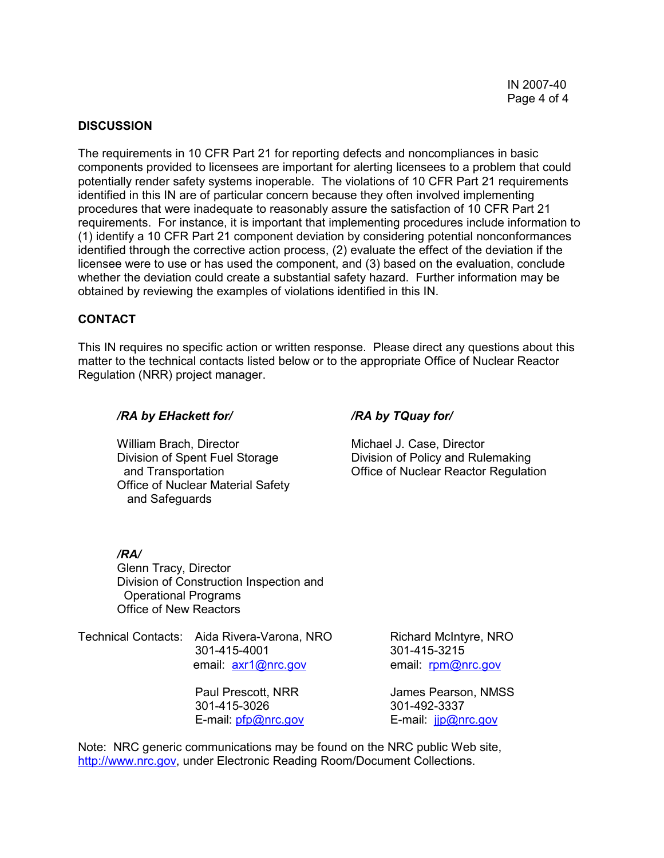#### **DISCUSSION**

The requirements in 10 CFR Part 21 for reporting defects and noncompliances in basic components provided to licensees are important for alerting licensees to a problem that could potentially render safety systems inoperable. The violations of 10 CFR Part 21 requirements identified in this IN are of particular concern because they often involved implementing procedures that were inadequate to reasonably assure the satisfaction of 10 CFR Part 21 requirements. For instance, it is important that implementing procedures include information to (1) identify a 10 CFR Part 21 component deviation by considering potential nonconformances identified through the corrective action process, (2) evaluate the effect of the deviation if the licensee were to use or has used the component, and (3) based on the evaluation, conclude whether the deviation could create a substantial safety hazard. Further information may be obtained by reviewing the examples of violations identified in this IN.

## **CONTACT**

This IN requires no specific action or written response. Please direct any questions about this matter to the technical contacts listed below or to the appropriate Office of Nuclear Reactor Regulation (NRR) project manager.

#### */RA by EHackett for/ /RA by TQuay for/*

William Brach, Director **Michael J. Case, Director** Michael J. Case, Director Office of Nuclear Material Safety and Safeguards

Division of Spent Fuel Storage Division of Policy and Rulemaking<br>Office of Nuclear Reactor Regulation<br>Office of Nuclear Reactor Regulation Office of Nuclear Reactor Regulation

## */RA/*

Glenn Tracy, Director Division of Construction Inspection and Operational Programs Office of New Reactors

Technical Contacts: Aida Rivera-Varona, NRO Richard McIntyre, NRO 301-415-4001 301-415-3215

> 301-415-3026 301-492-3337 E-mail: pfp@nrc.gov E-mail: jjp@nrc.gov

email:  $axr1@nrc.gov$  email: rpm@nrc.gov

Paul Prescott, NRR James Pearson, NMSS

Note: NRC generic communications may be found on the NRC public Web site, http://www.nrc.gov, under Electronic Reading Room/Document Collections.